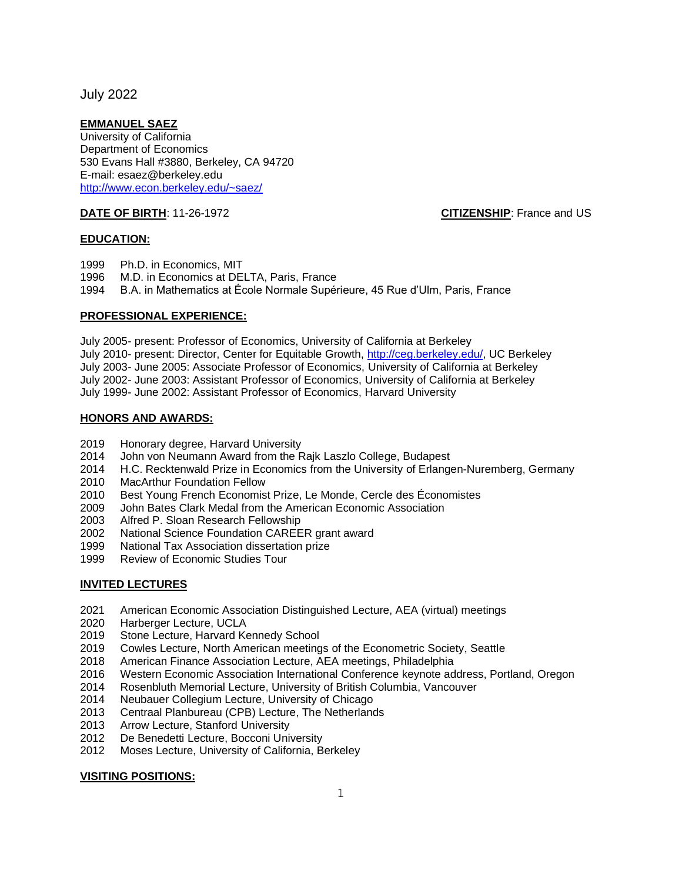July 2022

## **EMMANUEL SAEZ**

University of California Department of Economics 530 Evans Hall #3880, Berkeley, CA 94720 E-mail: esaez@berkeley.edu <http://www.econ.berkeley.edu/~saez/>

**DATE OF BIRTH:** 11-26-1972 **CITIZENSHIP**: France and US

### **EDUCATION:**

- 1999 Ph.D. in Economics, MIT
- 1996 M.D. in Economics at DELTA, Paris, France
- 1994 B.A. in Mathematics at École Normale Supérieure, 45 Rue d'Ulm, Paris, France

## **PROFESSIONAL EXPERIENCE:**

July 2005- present: Professor of Economics, University of California at Berkeley July 2010- present: Director, Center for Equitable Growth, [http://ceg.berkeley.edu/,](http://ceg.berkeley.edu/) UC Berkeley July 2003- June 2005: Associate Professor of Economics, University of California at Berkeley July 2002- June 2003: Assistant Professor of Economics, University of California at Berkeley July 1999- June 2002: Assistant Professor of Economics, Harvard University

### **HONORS AND AWARDS:**

- 2019 Honorary degree, Harvard University
- 2014 John von Neumann Award from the Rajk Laszlo College, Budapest
- 2014 H.C. Recktenwald Prize in Economics from the University of Erlangen-Nuremberg, Germany
- 2010 MacArthur Foundation Fellow<br>2010 Best Young French Economis
- Best Young French Economist Prize, Le Monde, Cercle des Économistes
- 2009 John Bates Clark Medal from the American Economic Association
- 2003 Alfred P. Sloan Research Fellowship
- 2002 National Science Foundation CAREER grant award<br>1999 National Tax Association dissertation prize
- National Tax Association dissertation prize
- 1999 Review of Economic Studies Tour

### **INVITED LECTURES**

- 2021 American Economic Association Distinguished Lecture, AEA (virtual) meetings
- 2020 Harberger Lecture, UCLA
- 2019 Stone Lecture, Harvard Kennedy School
- 2019 Cowles Lecture, North American meetings of the Econometric Society, Seattle
- 2018 American Finance Association Lecture, AEA meetings, Philadelphia
- 2016 Western Economic Association International Conference keynote address, Portland, Oregon
- 2014 Rosenbluth Memorial Lecture, University of British Columbia, Vancouver
- 2014 Neubauer Collegium Lecture, University of Chicago
- 2013 Centraal Planbureau (CPB) Lecture, The Netherlands
- 2013 Arrow Lecture, Stanford University
- 2012 De Benedetti Lecture, Bocconi University
- 2012 Moses Lecture, University of California, Berkeley

### **VISITING POSITIONS:**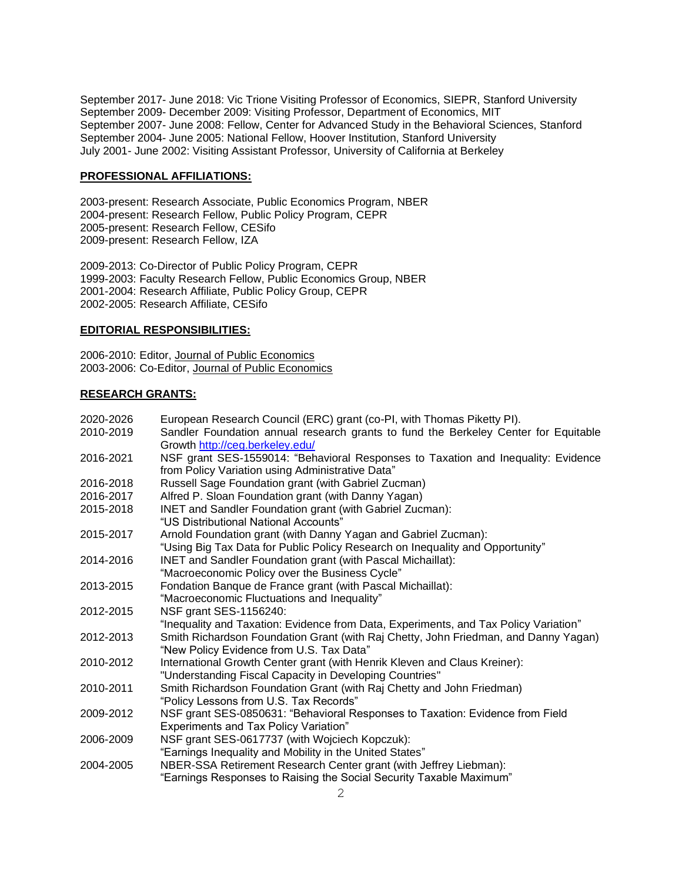September 2017- June 2018: Vic Trione Visiting Professor of Economics, SIEPR, Stanford University September 2009- December 2009: Visiting Professor, Department of Economics, MIT September 2007- June 2008: Fellow, Center for Advanced Study in the Behavioral Sciences, Stanford September 2004- June 2005: National Fellow, Hoover Institution, Stanford University July 2001- June 2002: Visiting Assistant Professor, University of California at Berkeley

### **PROFESSIONAL AFFILIATIONS:**

2003-present: Research Associate, Public Economics Program, NBER 2004-present: Research Fellow, Public Policy Program, CEPR 2005-present: Research Fellow, CESifo 2009-present: Research Fellow, IZA

2009-2013: Co-Director of Public Policy Program, CEPR 1999-2003: Faculty Research Fellow, Public Economics Group, NBER 2001-2004: Research Affiliate, Public Policy Group, CEPR 2002-2005: Research Affiliate, CESifo

# **EDITORIAL RESPONSIBILITIES:**

2006-2010: Editor, Journal of Public Economics 2003-2006: Co-Editor, Journal of Public Economics

### **RESEARCH GRANTS:**

| 2020-2026 | European Research Council (ERC) grant (co-PI, with Thomas Piketty PI).               |
|-----------|--------------------------------------------------------------------------------------|
| 2010-2019 | Sandler Foundation annual research grants to fund the Berkeley Center for Equitable  |
|           | Growth http://ceg.berkeley.edu/                                                      |
| 2016-2021 | NSF grant SES-1559014: "Behavioral Responses to Taxation and Inequality: Evidence    |
|           | from Policy Variation using Administrative Data"                                     |
| 2016-2018 | Russell Sage Foundation grant (with Gabriel Zucman)                                  |
| 2016-2017 | Alfred P. Sloan Foundation grant (with Danny Yagan)                                  |
| 2015-2018 | INET and Sandler Foundation grant (with Gabriel Zucman):                             |
|           | "US Distributional National Accounts"                                                |
| 2015-2017 | Arnold Foundation grant (with Danny Yagan and Gabriel Zucman):                       |
|           | "Using Big Tax Data for Public Policy Research on Inequality and Opportunity"        |
| 2014-2016 | INET and Sandler Foundation grant (with Pascal Michaillat):                          |
|           | "Macroeconomic Policy over the Business Cycle"                                       |
| 2013-2015 | Fondation Banque de France grant (with Pascal Michaillat):                           |
|           | "Macroeconomic Fluctuations and Inequality"                                          |
| 2012-2015 | NSF grant SES-1156240:                                                               |
|           | "Inequality and Taxation: Evidence from Data, Experiments, and Tax Policy Variation" |
| 2012-2013 | Smith Richardson Foundation Grant (with Raj Chetty, John Friedman, and Danny Yagan)  |
|           | "New Policy Evidence from U.S. Tax Data"                                             |
| 2010-2012 | International Growth Center grant (with Henrik Kleven and Claus Kreiner):            |
|           | "Understanding Fiscal Capacity in Developing Countries"                              |
| 2010-2011 | Smith Richardson Foundation Grant (with Raj Chetty and John Friedman)                |
|           | "Policy Lessons from U.S. Tax Records"                                               |
| 2009-2012 | NSF grant SES-0850631: "Behavioral Responses to Taxation: Evidence from Field        |
|           | <b>Experiments and Tax Policy Variation"</b>                                         |
| 2006-2009 | NSF grant SES-0617737 (with Wojciech Kopczuk):                                       |
|           | "Earnings Inequality and Mobility in the United States"                              |
| 2004-2005 | NBER-SSA Retirement Research Center grant (with Jeffrey Liebman):                    |
|           | "Earnings Responses to Raising the Social Security Taxable Maximum"                  |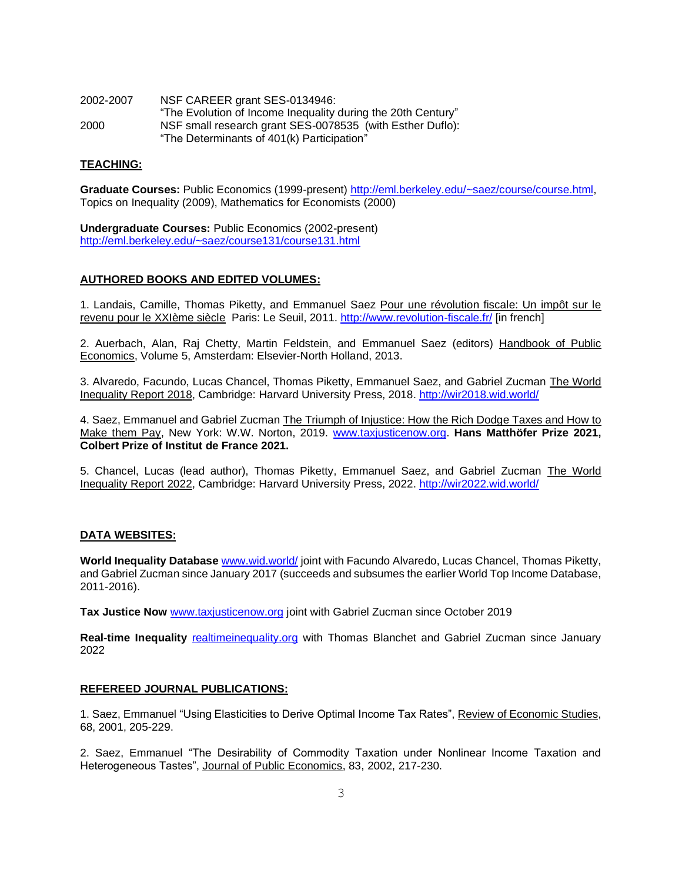| 2002-2007 | NSF CAREER grant SES-0134946:                                                                           |
|-----------|---------------------------------------------------------------------------------------------------------|
|           | "The Evolution of Income Inequality during the 20th Century"                                            |
| 2000      | NSF small research grant SES-0078535 (with Esther Duflo):<br>"The Determinants of 401(k) Participation" |

### **TEACHING:**

Graduate Courses: Public Economics (1999-present) [http://eml.berkeley.edu/~saez/course/course.html,](http://eml.berkeley.edu/~saez/course/course.html) Topics on Inequality (2009), Mathematics for Economists (2000)

**Undergraduate Courses:** Public Economics (2002-present) <http://eml.berkeley.edu/~saez/course131/course131.html>

### **AUTHORED BOOKS AND EDITED VOLUMES:**

1. Landais, Camille, Thomas Piketty, and Emmanuel Saez Pour une révolution fiscale: Un impôt sur le revenu pour le XXIème siècle Paris: Le Seuil, 2011. <http://www.revolution-fiscale.fr/> [in french]

2. Auerbach, Alan, Raj Chetty, Martin Feldstein, and Emmanuel Saez (editors) Handbook of Public Economics, Volume 5, Amsterdam: Elsevier-North Holland, 2013.

3. Alvaredo, Facundo, Lucas Chancel, Thomas Piketty, Emmanuel Saez, and Gabriel Zucman The World Inequality Report 2018, Cambridge: Harvard University Press, 2018. <http://wir2018.wid.world/>

4. Saez, Emmanuel and Gabriel Zucman The Triumph of Injustice: How the Rich Dodge Taxes and How to Make them Pay, New York: W.W. Norton, 2019. [www.taxjusticenow.org.](http://www.taxjusticenow.org/) **Hans Matthöfer Prize 2021, Colbert Prize of Institut de France 2021.**

5. Chancel, Lucas (lead author), Thomas Piketty, Emmanuel Saez, and Gabriel Zucman The World Inequality Report 2022, Cambridge: Harvard University Press, 2022.<http://wir2022.wid.world/>

### **DATA WEBSITES:**

**World Inequality Database** [www.wid.world/](http://www.wid.world/) joint with Facundo Alvaredo, Lucas Chancel, Thomas Piketty, and Gabriel Zucman since January 2017 (succeeds and subsumes the earlier World Top Income Database, 2011-2016).

Tax Justice Now [www.taxjusticenow.org](http://www.taxjusticenow.org/) joint with Gabriel Zucman since October 2019

**Real-time Inequality** [realtimeinequality.org](https://realtimeinequality.org/) with Thomas Blanchet and Gabriel Zucman since January 2022

#### **REFEREED JOURNAL PUBLICATIONS:**

1. Saez, Emmanuel "Using Elasticities to Derive Optimal Income Tax Rates", Review of Economic Studies, 68, 2001, 205-229.

2. Saez, Emmanuel "The Desirability of Commodity Taxation under Nonlinear Income Taxation and Heterogeneous Tastes", Journal of Public Economics, 83, 2002, 217-230.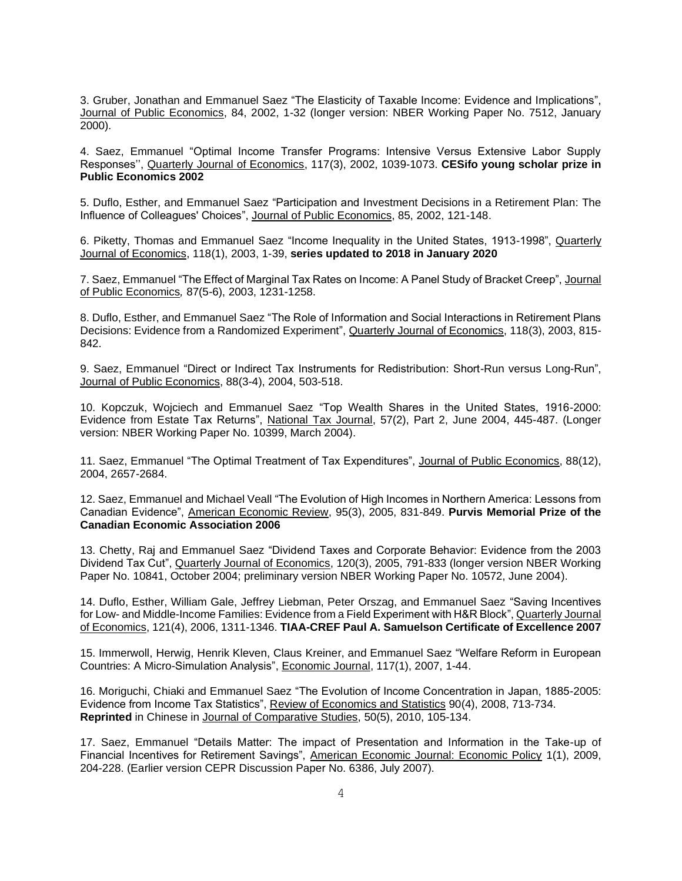3. Gruber, Jonathan and Emmanuel Saez "The Elasticity of Taxable Income: Evidence and Implications", Journal of Public Economics, 84, 2002, 1-32 (longer version: NBER Working Paper No. 7512, January 2000).

4. Saez, Emmanuel "Optimal Income Transfer Programs: Intensive Versus Extensive Labor Supply Responses'', Quarterly Journal of Economics, 117(3), 2002, 1039-1073. **CESifo young scholar prize in Public Economics 2002**

5. Duflo, Esther, and Emmanuel Saez "Participation and Investment Decisions in a Retirement Plan: The Influence of Colleagues' Choices", Journal of Public Economics, 85, 2002, 121-148.

6. Piketty, Thomas and Emmanuel Saez "Income Inequality in the United States, 1913-1998", Quarterly Journal of Economics, 118(1), 2003, 1-39, **series updated to 2018 in January 2020**

7. Saez, Emmanuel "The Effect of Marginal Tax Rates on Income: A Panel Study of Bracket Creep", Journal of Public Economics*,* 87(5-6), 2003, 1231-1258.

8. Duflo, Esther, and Emmanuel Saez "The Role of Information and Social Interactions in Retirement Plans Decisions: Evidence from a Randomized Experiment", Quarterly Journal of Economics, 118(3), 2003, 815-842.

9. Saez, Emmanuel "Direct or Indirect Tax Instruments for Redistribution: Short-Run versus Long-Run", Journal of Public Economics, 88(3-4), 2004, 503-518.

10. Kopczuk, Wojciech and Emmanuel Saez "Top Wealth Shares in the United States, 1916-2000: Evidence from Estate Tax Returns", National Tax Journal, 57(2), Part 2, June 2004, 445-487. (Longer version: NBER Working Paper No. 10399, March 2004).

11. Saez, Emmanuel "The Optimal Treatment of Tax Expenditures", Journal of Public Economics, 88(12), 2004, 2657-2684.

12. Saez, Emmanuel and Michael Veall "The Evolution of High Incomes in Northern America: Lessons from Canadian Evidence", American Economic Review, 95(3), 2005, 831-849. **Purvis Memorial Prize of the Canadian Economic Association 2006**

13. Chetty, Raj and Emmanuel Saez "Dividend Taxes and Corporate Behavior: Evidence from the 2003 Dividend Tax Cut", Quarterly Journal of Economics, 120(3), 2005, 791-833 (longer version NBER Working Paper No. 10841, October 2004; preliminary version NBER Working Paper No. 10572, June 2004).

14. Duflo, Esther, William Gale, Jeffrey Liebman, Peter Orszag, and Emmanuel Saez "Saving Incentives for Low- and Middle-Income Families: Evidence from a Field Experiment with H&R Block", Quarterly Journal of Economics, 121(4), 2006, 1311-1346. **TIAA-CREF Paul A. Samuelson Certificate of Excellence 2007**

15. Immerwoll, Herwig, Henrik Kleven, Claus Kreiner, and Emmanuel Saez "Welfare Reform in European Countries: A Micro-Simulation Analysis", Economic Journal, 117(1), 2007, 1-44.

16. Moriguchi, Chiaki and Emmanuel Saez "The Evolution of Income Concentration in Japan, 1885-2005: Evidence from Income Tax Statistics", Review of Economics and Statistics 90(4), 2008, 713-734. **Reprinted** in Chinese in Journal of Comparative Studies, 50(5), 2010, 105-134.

17. Saez, Emmanuel "Details Matter: The impact of Presentation and Information in the Take-up of Financial Incentives for Retirement Savings", American Economic Journal: Economic Policy 1(1), 2009, 204-228. (Earlier version CEPR Discussion Paper No. 6386, July 2007).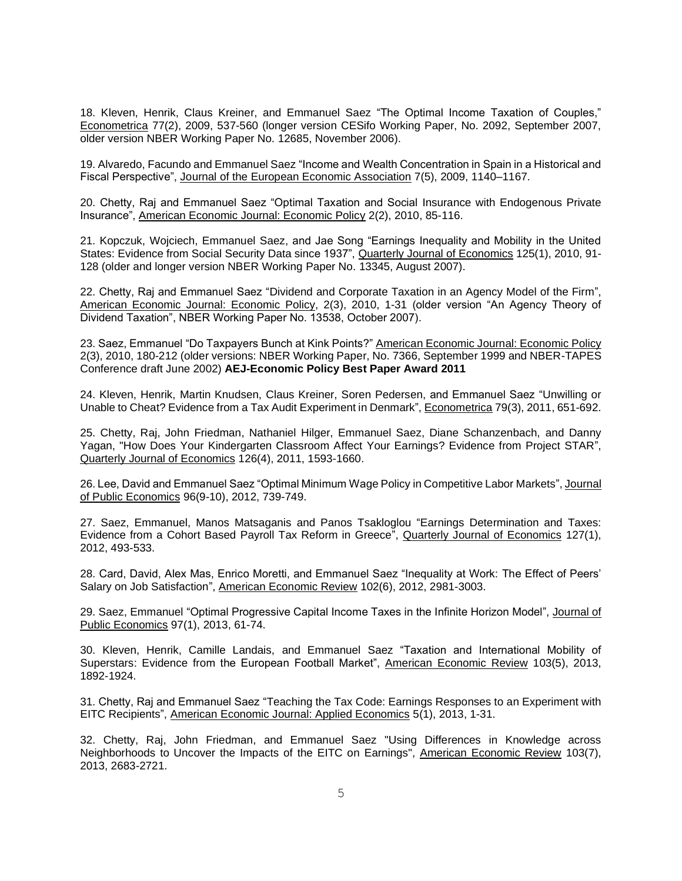18. Kleven, Henrik, Claus Kreiner, and Emmanuel Saez "The Optimal Income Taxation of Couples," Econometrica 77(2), 2009, 537-560 (longer version CESifo Working Paper, No. 2092, September 2007, older version NBER Working Paper No. 12685, November 2006).

19. Alvaredo, Facundo and Emmanuel Saez "Income and Wealth Concentration in Spain in a Historical and Fiscal Perspective", Journal of the European Economic Association 7(5), 2009, 1140–1167.

20. Chetty, Raj and Emmanuel Saez "Optimal Taxation and Social Insurance with Endogenous Private Insurance", American Economic Journal: Economic Policy 2(2), 2010, 85-116.

21. Kopczuk, Wojciech, Emmanuel Saez, and Jae Song "Earnings Inequality and Mobility in the United States: Evidence from Social Security Data since 1937", Quarterly Journal of Economics 125(1), 2010, 91-128 (older and longer version NBER Working Paper No. 13345, August 2007).

22. Chetty, Raj and Emmanuel Saez "Dividend and Corporate Taxation in an Agency Model of the Firm", American Economic Journal: Economic Policy, 2(3), 2010, 1-31 (older version "An Agency Theory of Dividend Taxation", NBER Working Paper No. 13538, October 2007).

23. Saez, Emmanuel "Do Taxpayers Bunch at Kink Points?" American Economic Journal: Economic Policy 2(3), 2010, 180-212 (older versions: NBER Working Paper, No. 7366, September 1999 and NBER-TAPES Conference draft June 2002) **AEJ-Economic Policy Best Paper Award 2011**

24. Kleven, Henrik, Martin Knudsen, Claus Kreiner, Soren Pedersen, and Emmanuel Saez "Unwilling or Unable to Cheat? Evidence from a Tax Audit Experiment in Denmark", Econometrica 79(3), 2011, 651-692.

25. Chetty, Raj, John Friedman, Nathaniel Hilger, Emmanuel Saez, Diane Schanzenbach, and Danny Yagan, "How Does Your Kindergarten Classroom Affect Your Earnings? Evidence from Project STAR", Quarterly Journal of Economics 126(4), 2011, 1593-1660.

26. Lee, David and Emmanuel Saez "Optimal Minimum Wage Policy in Competitive Labor Markets", Journal of Public Economics 96(9-10), 2012, 739-749.

27. Saez, Emmanuel, Manos Matsaganis and Panos Tsakloglou "Earnings Determination and Taxes: Evidence from a Cohort Based Payroll Tax Reform in Greece", Quarterly Journal of Economics 127(1), 2012, 493-533.

28. Card, David, Alex Mas, Enrico Moretti, and Emmanuel Saez "Inequality at Work: The Effect of Peers' Salary on Job Satisfaction", American Economic Review 102(6), 2012, 2981-3003.

29. Saez, Emmanuel "Optimal Progressive Capital Income Taxes in the Infinite Horizon Model", Journal of Public Economics 97(1), 2013, 61-74.

30. Kleven, Henrik, Camille Landais, and Emmanuel Saez "Taxation and International Mobility of Superstars: Evidence from the European Football Market", American Economic Review 103(5), 2013, 1892-1924.

31. Chetty, Raj and Emmanuel Saez "Teaching the Tax Code: Earnings Responses to an Experiment with EITC Recipients", American Economic Journal: Applied Economics 5(1), 2013, 1-31.

32. Chetty, Raj, John Friedman, and Emmanuel Saez "Using Differences in Knowledge across Neighborhoods to Uncover the Impacts of the EITC on Earnings", American Economic Review 103(7), 2013, 2683-2721.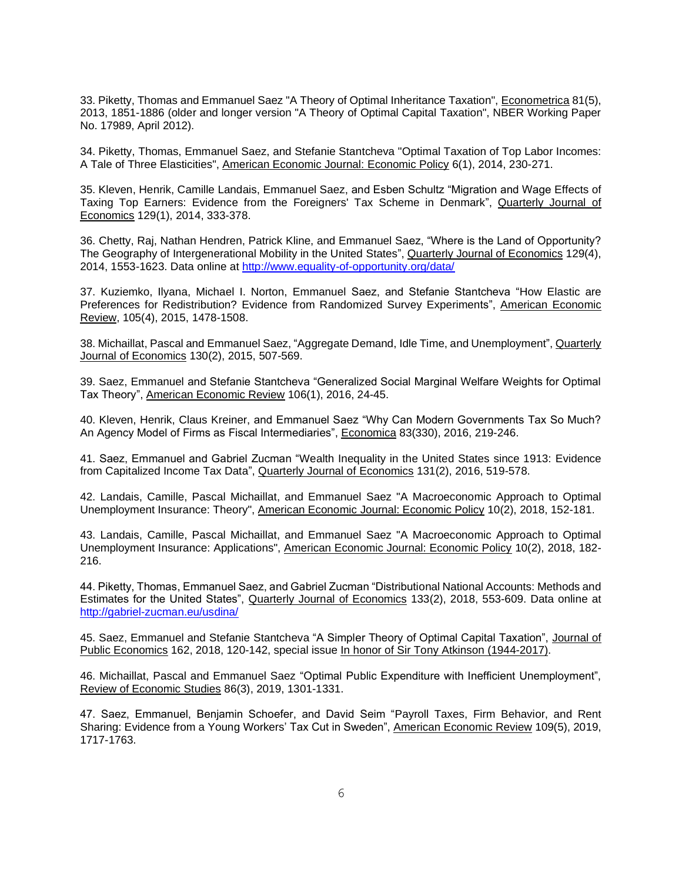33. Piketty, Thomas and Emmanuel Saez "A Theory of Optimal Inheritance Taxation", Econometrica 81(5), 2013, 1851-1886 (older and longer version "A Theory of Optimal Capital Taxation", NBER Working Paper No. 17989, April 2012).

34. Piketty, Thomas, Emmanuel Saez, and Stefanie Stantcheva "Optimal Taxation of Top Labor Incomes: A Tale of Three Elasticities", American Economic Journal: Economic Policy 6(1), 2014, 230-271.

35. Kleven, Henrik, Camille Landais, Emmanuel Saez, and Esben Schultz "Migration and Wage Effects of Taxing Top Earners: Evidence from the Foreigners' Tax Scheme in Denmark", Quarterly Journal of Economics 129(1), 2014, 333-378.

36. Chetty, Raj, Nathan Hendren, Patrick Kline, and Emmanuel Saez, "Where is the Land of Opportunity? The Geography of Intergenerational Mobility in the United States", Quarterly Journal of Economics 129(4), 2014, 1553-1623. Data online at<http://www.equality-of-opportunity.org/data/>

37. Kuziemko, Ilyana, Michael I. Norton, Emmanuel Saez, and Stefanie Stantcheva "How Elastic are Preferences for Redistribution? Evidence from Randomized Survey Experiments", American Economic Review, 105(4), 2015, 1478-1508.

38. Michaillat, Pascal and Emmanuel Saez, "Aggregate Demand, Idle Time, and Unemployment", Quarterly Journal of Economics 130(2), 2015, 507-569.

39. Saez, Emmanuel and Stefanie Stantcheva "Generalized Social Marginal Welfare Weights for Optimal Tax Theory", American Economic Review 106(1), 2016, 24-45.

40. Kleven, Henrik, Claus Kreiner, and Emmanuel Saez "Why Can Modern Governments Tax So Much? An Agency Model of Firms as Fiscal Intermediaries", Economica 83(330), 2016, 219-246.

41. Saez, Emmanuel and Gabriel Zucman "Wealth Inequality in the United States since 1913: Evidence from Capitalized Income Tax Data", Quarterly Journal of Economics 131(2), 2016, 519-578.

42. Landais, Camille, Pascal Michaillat, and Emmanuel Saez "A Macroeconomic Approach to Optimal Unemployment Insurance: Theory", American Economic Journal: Economic Policy 10(2), 2018, 152-181.

43. Landais, Camille, Pascal Michaillat, and Emmanuel Saez "A Macroeconomic Approach to Optimal Unemployment Insurance: Applications", American Economic Journal: Economic Policy 10(2), 2018, 182- 216.

44. Piketty, Thomas, Emmanuel Saez, and Gabriel Zucman "Distributional National Accounts: Methods and Estimates for the United States", Quarterly Journal of Economics 133(2), 2018, 553-609. Data online at <http://gabriel-zucman.eu/usdina/>

45. Saez, Emmanuel and Stefanie Stantcheva "A Simpler Theory of Optimal Capital Taxation", Journal of Public Economics 162, 2018, 120-142, special issue In honor of Sir Tony Atkinson (1944-2017).

46. Michaillat, Pascal and Emmanuel Saez "Optimal Public Expenditure with Inefficient Unemployment", Review of Economic Studies 86(3), 2019, 1301-1331.

47. Saez, Emmanuel, Benjamin Schoefer, and David Seim "Payroll Taxes, Firm Behavior, and Rent Sharing: Evidence from a Young Workers' Tax Cut in Sweden", American Economic Review 109(5), 2019, 1717-1763.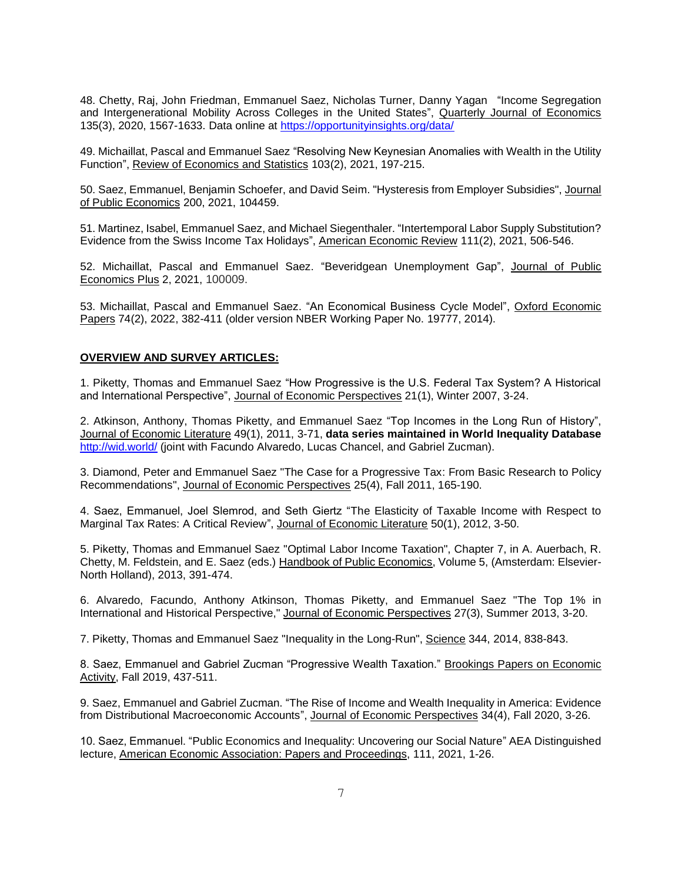48. Chetty, Raj, John Friedman, Emmanuel Saez, Nicholas Turner, Danny Yagan "Income Segregation and Intergenerational Mobility Across Colleges in the United States", Quarterly Journal of Economics 135(3), 2020, 1567-1633. Data online at<https://opportunityinsights.org/data/>

49. Michaillat, Pascal and Emmanuel Saez "Resolving New Keynesian Anomalies with Wealth in the Utility Function", Review of Economics and Statistics 103(2), 2021, 197-215.

50. Saez, Emmanuel, Benjamin Schoefer, and David Seim. "Hysteresis from Employer Subsidies", Journal of Public Economics 200, 2021, 104459.

51. Martinez, Isabel, Emmanuel Saez, and Michael Siegenthaler. "Intertemporal Labor Supply Substitution? Evidence from the Swiss Income Tax Holidays", American Economic Review 111(2), 2021, 506-546.

52. Michaillat, Pascal and Emmanuel Saez. "Beveridgean Unemployment Gap", Journal of Public Economics Plus 2, 2021, 100009.

53. Michaillat, Pascal and Emmanuel Saez. "An Economical Business Cycle Model", Oxford Economic Papers 74(2), 2022, 382-411 (older version NBER Working Paper No. 19777, 2014).

### **OVERVIEW AND SURVEY ARTICLES:**

1. Piketty, Thomas and Emmanuel Saez "How Progressive is the U.S. Federal Tax System? A Historical and International Perspective", Journal of Economic Perspectives 21(1), Winter 2007, 3-24.

2. Atkinson, Anthony, Thomas Piketty, and Emmanuel Saez "Top Incomes in the Long Run of History", Journal of Economic Literature 49(1), 2011, 3-71, **data series maintained in World Inequality Database** <http://wid.world/> (joint with Facundo Alvaredo, Lucas Chancel, and Gabriel Zucman).

3. Diamond, Peter and Emmanuel Saez "The Case for a Progressive Tax: From Basic Research to Policy Recommendations", Journal of Economic Perspectives 25(4), Fall 2011, 165-190.

4. Saez, Emmanuel, Joel Slemrod, and Seth Giertz "The Elasticity of Taxable Income with Respect to Marginal Tax Rates: A Critical Review", Journal of Economic Literature 50(1), 2012, 3-50.

5. Piketty, Thomas and Emmanuel Saez "Optimal Labor Income Taxation", Chapter 7, in A. Auerbach, R. Chetty, M. Feldstein, and E. Saez (eds.) Handbook of Public Economics, Volume 5, (Amsterdam: Elsevier-North Holland), 2013, 391-474.

6. Alvaredo, Facundo, Anthony Atkinson, Thomas Piketty, and Emmanuel Saez "The Top 1% in International and Historical Perspective," Journal of Economic Perspectives 27(3), Summer 2013, 3-20.

7. Piketty, Thomas and Emmanuel Saez "Inequality in the Long-Run", Science 344, 2014, 838-843.

8. Saez, Emmanuel and Gabriel Zucman "Progressive Wealth Taxation." Brookings Papers on Economic Activity, Fall 2019, 437-511.

9. Saez, Emmanuel and Gabriel Zucman. "The Rise of Income and Wealth Inequality in America: Evidence from Distributional Macroeconomic Accounts", Journal of Economic Perspectives 34(4), Fall 2020, 3-26.

10. Saez, Emmanuel. "Public Economics and Inequality: Uncovering our Social Nature" AEA Distinguished lecture, American Economic Association: Papers and Proceedings, 111, 2021, 1-26.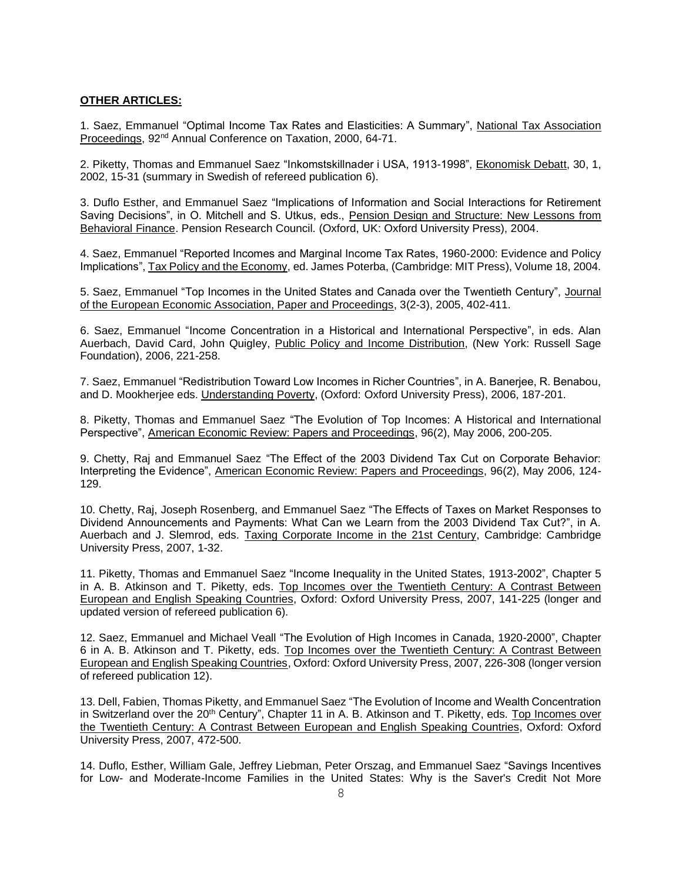### **OTHER ARTICLES:**

1. Saez, Emmanuel "Optimal Income Tax Rates and Elasticities: A Summary", National Tax Association Proceedings, 92nd Annual Conference on Taxation, 2000, 64-71.

2. Piketty, Thomas and Emmanuel Saez "Inkomstskillnader i USA, 1913-1998", Ekonomisk Debatt, 30, 1, 2002, 15-31 (summary in Swedish of refereed publication 6).

3. Duflo Esther, and Emmanuel Saez "Implications of Information and Social Interactions for Retirement Saving Decisions", in O. Mitchell and S. Utkus, eds., Pension Design and Structure: New Lessons from Behavioral Finance. Pension Research Council. (Oxford, UK: Oxford University Press), 2004.

4. Saez, Emmanuel "Reported Incomes and Marginal Income Tax Rates, 1960-2000: Evidence and Policy Implications", Tax Policy and the Economy, ed. James Poterba, (Cambridge: MIT Press), Volume 18, 2004.

5. Saez, Emmanuel "Top Incomes in the United States and Canada over the Twentieth Century", Journal of the European Economic Association, Paper and Proceedings, 3(2-3), 2005, 402-411.

6. Saez, Emmanuel "Income Concentration in a Historical and International Perspective", in eds. Alan Auerbach, David Card, John Quigley, Public Policy and Income Distribution, (New York: Russell Sage Foundation), 2006, 221-258.

7. Saez, Emmanuel "Redistribution Toward Low Incomes in Richer Countries", in A. Banerjee, R. Benabou, and D. Mookherjee eds. Understanding Poverty, (Oxford: Oxford University Press), 2006, 187-201.

8. Piketty, Thomas and Emmanuel Saez "The Evolution of Top Incomes: A Historical and International Perspective", American Economic Review: Papers and Proceedings, 96(2), May 2006, 200-205.

9. Chetty, Raj and Emmanuel Saez "The Effect of the 2003 Dividend Tax Cut on Corporate Behavior: Interpreting the Evidence", American Economic Review: Papers and Proceedings, 96(2), May 2006, 124- 129.

10. Chetty, Raj, Joseph Rosenberg, and Emmanuel Saez "The Effects of Taxes on Market Responses to Dividend Announcements and Payments: What Can we Learn from the 2003 Dividend Tax Cut?", in A. Auerbach and J. Slemrod, eds. Taxing Corporate Income in the 21st Century, Cambridge: Cambridge University Press, 2007, 1-32.

11. Piketty, Thomas and Emmanuel Saez "Income Inequality in the United States, 1913-2002", Chapter 5 in A. B. Atkinson and T. Piketty, eds. Top Incomes over the Twentieth Century: A Contrast Between European and English Speaking Countries, Oxford: Oxford University Press, 2007, 141-225 (longer and updated version of refereed publication 6).

12. Saez, Emmanuel and Michael Veall "The Evolution of High Incomes in Canada, 1920-2000", Chapter 6 in A. B. Atkinson and T. Piketty, eds. Top Incomes over the Twentieth Century: A Contrast Between European and English Speaking Countries, Oxford: Oxford University Press, 2007, 226-308 (longer version of refereed publication 12).

13. Dell, Fabien, Thomas Piketty, and Emmanuel Saez "The Evolution of Income and Wealth Concentration in Switzerland over the 20<sup>th</sup> Century", Chapter 11 in A. B. Atkinson and T. Piketty, eds. Top Incomes over the Twentieth Century: A Contrast Between European and English Speaking Countries, Oxford: Oxford University Press, 2007, 472-500.

14. Duflo, Esther, William Gale, Jeffrey Liebman, Peter Orszag, and Emmanuel Saez "Savings Incentives for Low- and Moderate-Income Families in the United States: Why is the Saver's Credit Not More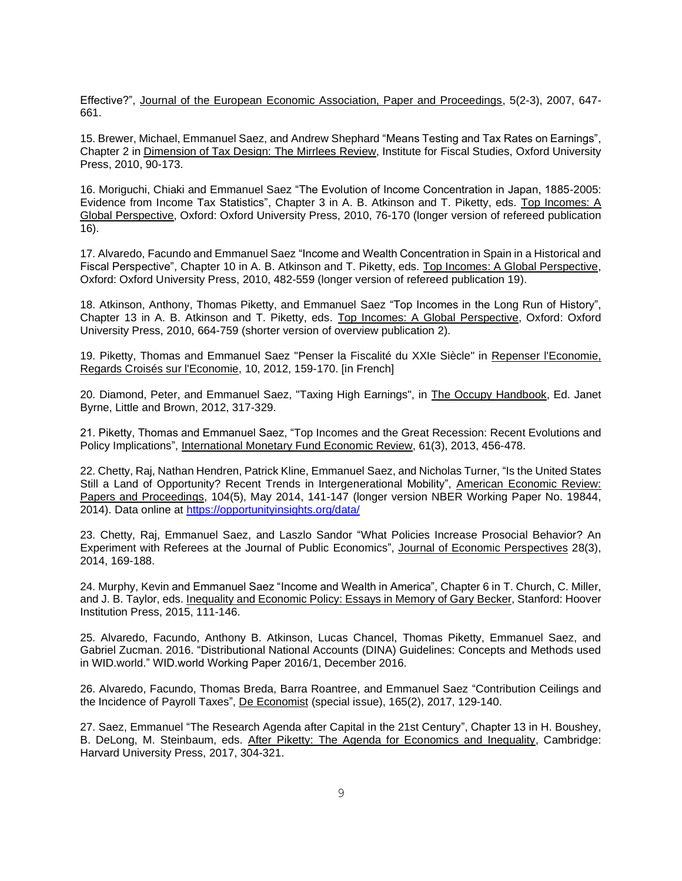Effective?", Journal of the European Economic Association, Paper and Proceedings, 5(2-3), 2007, 647- 661.

15. Brewer, Michael, Emmanuel Saez, and Andrew Shephard "Means Testing and Tax Rates on Earnings", Chapter 2 in Dimension of Tax Design: The Mirrlees Review, Institute for Fiscal Studies, Oxford University Press, 2010, 90-173.

16. Moriguchi, Chiaki and Emmanuel Saez "The Evolution of Income Concentration in Japan, 1885-2005: Evidence from Income Tax Statistics", Chapter 3 in A. B. Atkinson and T. Piketty, eds. Top Incomes: A Global Perspective, Oxford: Oxford University Press, 2010, 76-170 (longer version of refereed publication 16).

17. Alvaredo, Facundo and Emmanuel Saez "Income and Wealth Concentration in Spain in a Historical and Fiscal Perspective", Chapter 10 in A. B. Atkinson and T. Piketty, eds. Top Incomes: A Global Perspective, Oxford: Oxford University Press, 2010, 482-559 (longer version of refereed publication 19).

18. Atkinson, Anthony, Thomas Piketty, and Emmanuel Saez "Top Incomes in the Long Run of History", Chapter 13 in A. B. Atkinson and T. Piketty, eds. Top Incomes: A Global Perspective, Oxford: Oxford University Press, 2010, 664-759 (shorter version of overview publication 2).

19. Piketty, Thomas and Emmanuel Saez "Penser la Fiscalité du XXIe Siècle" in Repenser l'Economie, Regards Croisés sur l'Economie, 10, 2012, 159-170. [in French]

20. Diamond, Peter, and Emmanuel Saez, "Taxing High Earnings", in The Occupy Handbook, Ed. Janet Byrne, Little and Brown, 2012, 317-329.

21. Piketty, Thomas and Emmanuel Saez, "Top Incomes and the Great Recession: Recent Evolutions and Policy Implications", International Monetary Fund Economic Review, 61(3), 2013, 456-478.

22. Chetty, Raj, Nathan Hendren, Patrick Kline, Emmanuel Saez, and Nicholas Turner, "Is the United States Still a Land of Opportunity? Recent Trends in Intergenerational Mobility", American Economic Review: Papers and Proceedings, 104(5), May 2014, 141-147 (longer version NBER Working Paper No. 19844, 2014). Data online at<https://opportunityinsights.org/data/>

23. Chetty, Raj, Emmanuel Saez, and Laszlo Sandor "What Policies Increase Prosocial Behavior? An Experiment with Referees at the Journal of Public Economics", Journal of Economic Perspectives 28(3), 2014, 169-188.

24. Murphy, Kevin and Emmanuel Saez "Income and Wealth in America", Chapter 6 in T. Church, C. Miller, and J. B. Taylor, eds. Inequality and Economic Policy: Essays in Memory of Gary Becker, Stanford: Hoover Institution Press, 2015, 111-146.

25. Alvaredo, Facundo, Anthony B. Atkinson, Lucas Chancel, Thomas Piketty, Emmanuel Saez, and Gabriel Zucman. 2016. "Distributional National Accounts (DINA) Guidelines: Concepts and Methods used in WID.world." WID.world Working Paper 2016/1, December 2016.

26. Alvaredo, Facundo, Thomas Breda, Barra Roantree, and Emmanuel Saez "Contribution Ceilings and the Incidence of Payroll Taxes", De Economist (special issue), 165(2), 2017, 129-140.

27. Saez, Emmanuel "The Research Agenda after Capital in the 21st Century", Chapter 13 in H. Boushey, B. DeLong, M. Steinbaum, eds. After Piketty: The Agenda for Economics and Inequality, Cambridge: Harvard University Press, 2017, 304-321.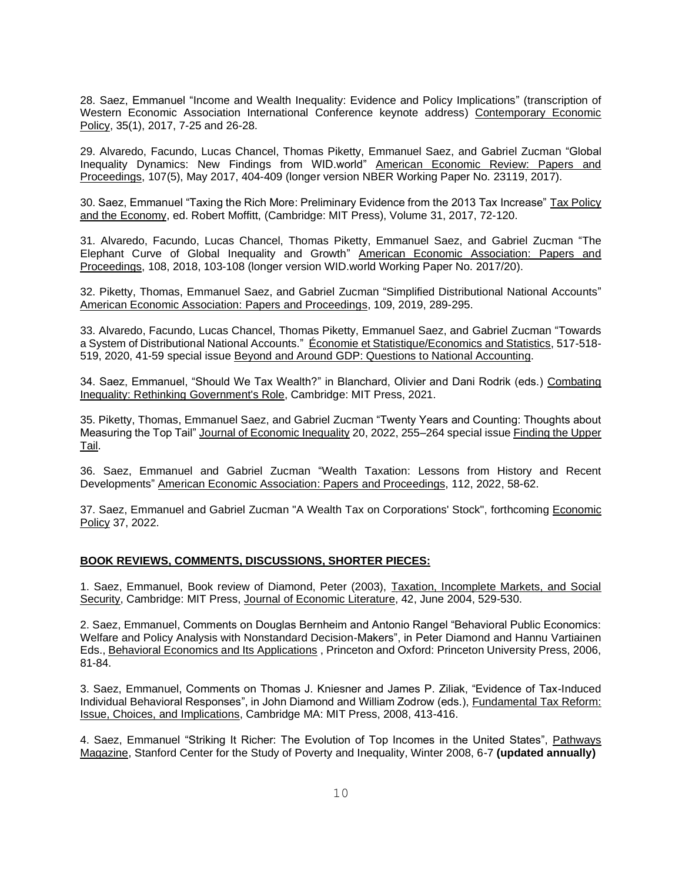28. Saez, Emmanuel "Income and Wealth Inequality: Evidence and Policy Implications" (transcription of Western Economic Association International Conference keynote address) Contemporary Economic Policy, 35(1), 2017, 7-25 and 26-28.

29. Alvaredo, Facundo, Lucas Chancel, Thomas Piketty, Emmanuel Saez, and Gabriel Zucman "Global Inequality Dynamics: New Findings from WID.world" American Economic Review: Papers and Proceedings, 107(5), May 2017, 404-409 (longer version NBER Working Paper No. 23119, 2017).

30. Saez, Emmanuel "Taxing the Rich More: Preliminary Evidence from the 2013 Tax Increase" Tax Policy and the Economy, ed. Robert Moffitt, (Cambridge: MIT Press), Volume 31, 2017, 72-120.

31. Alvaredo, Facundo, Lucas Chancel, Thomas Piketty, Emmanuel Saez, and Gabriel Zucman "The Elephant Curve of Global Inequality and Growth" American Economic Association: Papers and Proceedings, 108, 2018, 103-108 (longer version WID.world Working Paper No. 2017/20).

32. Piketty, Thomas, Emmanuel Saez, and Gabriel Zucman "Simplified Distributional National Accounts" American Economic Association: Papers and Proceedings, 109, 2019, 289-295.

33. Alvaredo, Facundo, Lucas Chancel, Thomas Piketty, Emmanuel Saez, and Gabriel Zucman "Towards a System of Distributional National Accounts." Économie et Statistique/Economics and Statistics, 517-518- 519, 2020, 41-59 special issue Beyond and Around GDP: Questions to National Accounting.

34. Saez, Emmanuel, "Should We Tax Wealth?" in Blanchard, Olivier and Dani Rodrik (eds.) Combating Inequality: Rethinking Government's Role, Cambridge: MIT Press, 2021.

35. Piketty, Thomas, Emmanuel Saez, and Gabriel Zucman "Twenty Years and Counting: Thoughts about Measuring the Top Tail" Journal of Economic Inequality 20, 2022, 255–264 special issue Finding the Upper Tail.

36. Saez, Emmanuel and Gabriel Zucman "Wealth Taxation: Lessons from History and Recent Developments" American Economic Association: Papers and Proceedings, 112, 2022, 58-62.

37. Saez, Emmanuel and Gabriel Zucman "A Wealth Tax on Corporations' Stock", forthcoming Economic Policy 37, 2022.

### **BOOK REVIEWS, COMMENTS, DISCUSSIONS, SHORTER PIECES:**

1. Saez, Emmanuel, Book review of Diamond, Peter (2003), Taxation, Incomplete Markets, and Social Security, Cambridge: MIT Press, Journal of Economic Literature, 42, June 2004, 529-530.

2. Saez, Emmanuel, Comments on Douglas Bernheim and Antonio Rangel "Behavioral Public Economics: Welfare and Policy Analysis with Nonstandard Decision-Makers", in Peter Diamond and Hannu Vartiainen Eds., Behavioral Economics and Its Applications , Princeton and Oxford: Princeton University Press, 2006, 81-84.

3. Saez, Emmanuel, Comments on Thomas J. Kniesner and James P. Ziliak, "Evidence of Tax-Induced Individual Behavioral Responses", in John Diamond and William Zodrow (eds.), Fundamental Tax Reform: Issue, Choices, and Implications, Cambridge MA: MIT Press, 2008, 413-416.

4. Saez, Emmanuel "Striking It Richer: The Evolution of Top Incomes in the United States", Pathways Magazine, Stanford Center for the Study of Poverty and Inequality, Winter 2008, 6-7 **(updated annually)**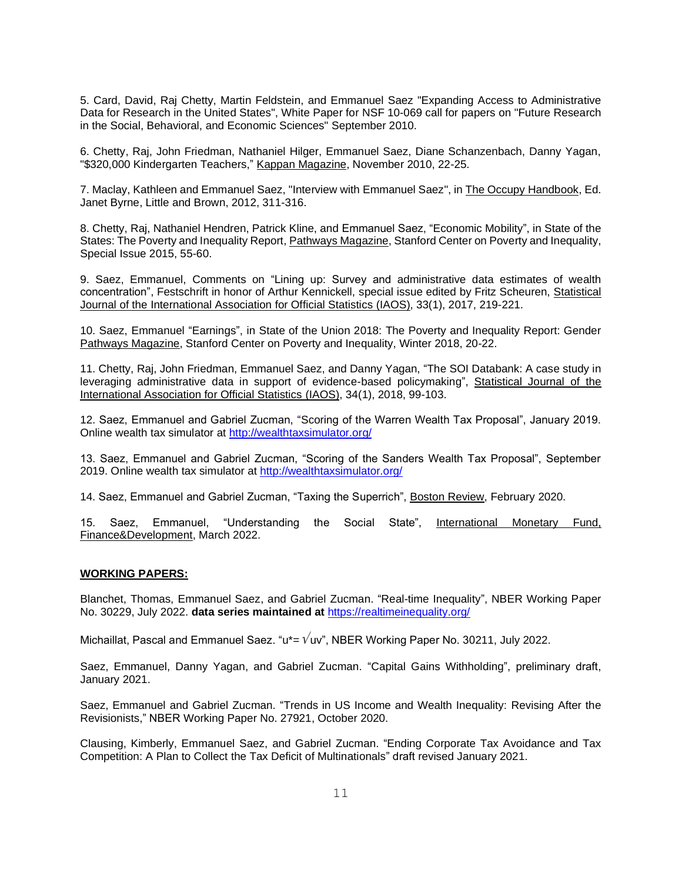5. Card, David, Raj Chetty, Martin Feldstein, and Emmanuel Saez "Expanding Access to Administrative Data for Research in the United States", White Paper for NSF 10-069 call for papers on "Future Research in the Social, Behavioral, and Economic Sciences" September 2010.

6. Chetty, Raj, John Friedman, Nathaniel Hilger, Emmanuel Saez, Diane Schanzenbach, Danny Yagan, "\$320,000 Kindergarten Teachers," Kappan Magazine, November 2010, 22-25.

7. Maclay, Kathleen and Emmanuel Saez, "Interview with Emmanuel Saez", in The Occupy Handbook, Ed. Janet Byrne, Little and Brown, 2012, 311-316.

8. Chetty, Raj, Nathaniel Hendren, Patrick Kline, and Emmanuel Saez, "Economic Mobility", in State of the States: The Poverty and Inequality Report, Pathways Magazine, Stanford Center on Poverty and Inequality, Special Issue 2015, 55-60.

9. Saez, Emmanuel, Comments on "Lining up: Survey and administrative data estimates of wealth concentration", Festschrift in honor of Arthur Kennickell, special issue edited by Fritz Scheuren, Statistical Journal of the International Association for Official Statistics (IAOS), 33(1), 2017, 219-221.

10. Saez, Emmanuel "Earnings", in State of the Union 2018: The Poverty and Inequality Report: Gender Pathways Magazine, Stanford Center on Poverty and Inequality, Winter 2018, 20-22.

11. Chetty, Raj, John Friedman, Emmanuel Saez, and Danny Yagan, "The SOI Databank: A case study in leveraging administrative data in support of evidence-based policymaking", Statistical Journal of the International Association for Official Statistics (IAOS), 34(1), 2018, 99-103.

12. Saez, Emmanuel and Gabriel Zucman, "Scoring of the Warren Wealth Tax Proposal", January 2019. Online wealth tax simulator at <http://wealthtaxsimulator.org/>

13. Saez, Emmanuel and Gabriel Zucman, "Scoring of the Sanders Wealth Tax Proposal", September 2019. Online wealth tax simulator at<http://wealthtaxsimulator.org/>

14. Saez, Emmanuel and Gabriel Zucman, "Taxing the Superrich", Boston Review, February 2020.

15. Saez, Emmanuel, "Understanding the Social State", International Monetary Fund, Finance&Development, March 2022.

### **WORKING PAPERS:**

Blanchet, Thomas, Emmanuel Saez, and Gabriel Zucman. "Real-time Inequality", NBER Working Paper No. 30229, July 2022. **data series maintained at** <https://realtimeinequality.org/>

Michaillat, Pascal and Emmanuel Saez. " $u^* = \sqrt{uv}$ ", NBER Working Paper No. 30211, July 2022.

Saez, Emmanuel, Danny Yagan, and Gabriel Zucman. "Capital Gains Withholding", preliminary draft, January 2021.

Saez, Emmanuel and Gabriel Zucman. "Trends in US Income and Wealth Inequality: Revising After the Revisionists," NBER Working Paper No. 27921, October 2020.

Clausing, Kimberly, Emmanuel Saez, and Gabriel Zucman. "Ending Corporate Tax Avoidance and Tax Competition: A Plan to Collect the Tax Deficit of Multinationals" draft revised January 2021.